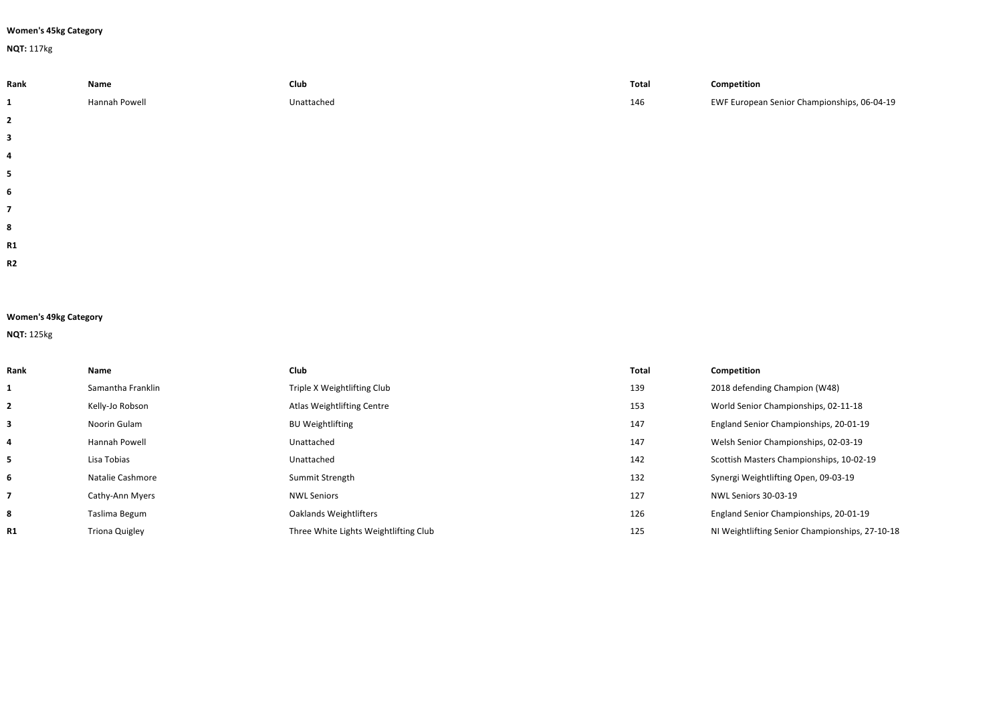## **Women's 45kg Category**

**NQT:** 117kg

| Rank | Name          | Club       | Total | Competition                                 |
|------|---------------|------------|-------|---------------------------------------------|
|      | Hannah Powell | Unattached | 146   | EWF European Senior Championships, 06-04-19 |
| 2    |               |            |       |                                             |
| 3    |               |            |       |                                             |

| <b>Women's 49kg Category</b> |  |  |
|------------------------------|--|--|

**NQT:** 125kg

| Rank      | Name                  | Club                                  | Total | Competition                                     |
|-----------|-----------------------|---------------------------------------|-------|-------------------------------------------------|
|           | Samantha Franklin     | Triple X Weightlifting Club           | 139   | 2018 defending Champion (W48)                   |
|           | Kelly-Jo Robson       | Atlas Weightlifting Centre            | 153   | World Senior Championships, 02-11-18            |
|           | Noorin Gulam          | <b>BU Weightlifting</b>               | 147   | England Senior Championships, 20-01-19          |
|           | Hannah Powell         | Unattached                            | 147   | Welsh Senior Championships, 02-03-19            |
|           | Lisa Tobias           | Unattached                            | 142   | Scottish Masters Championships, 10-02-19        |
| 6         | Natalie Cashmore      | Summit Strength                       | 132   | Synergi Weightlifting Open, 09-03-19            |
|           | Cathy-Ann Myers       | <b>NWL Seniors</b>                    | 127   | NWL Seniors 30-03-19                            |
| 8         | Taslima Begum         | Oaklands Weightlifters                | 126   | England Senior Championships, 20-01-19          |
| <b>R1</b> | <b>Triona Quigley</b> | Three White Lights Weightlifting Club | 125   | NI Weightlifting Senior Championships, 27-10-18 |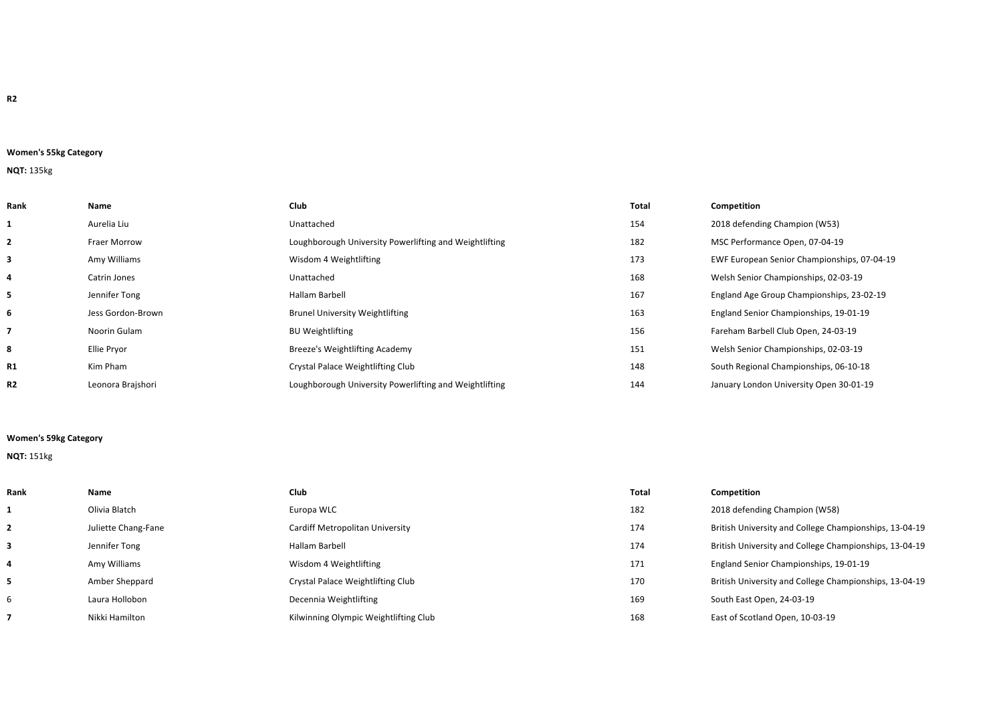## **Women's 55kg Category**

# **NQT:** 135kg

| Rank         | Name                | <b>Club</b>                                            | <b>Total</b> | Competition                                 |
|--------------|---------------------|--------------------------------------------------------|--------------|---------------------------------------------|
|              | Aurelia Liu         | Unattached                                             | 154          | 2018 defending Champion (W53)               |
| $\mathbf{z}$ | <b>Fraer Morrow</b> | Loughborough University Powerlifting and Weightlifting | 182          | MSC Performance Open, 07-04-19              |
| 3            | Amy Williams        | Wisdom 4 Weightlifting                                 | 173          | EWF European Senior Championships, 07-04-19 |
| 4            | Catrin Jones        | Unattached                                             | 168          | Welsh Senior Championships, 02-03-19        |
| 5.           | Jennifer Tong       | Hallam Barbell                                         | 167          | England Age Group Championships, 23-02-19   |
| 6            | Jess Gordon-Brown   | <b>Brunel University Weightlifting</b>                 | 163          | England Senior Championships, 19-01-19      |
|              | Noorin Gulam        | <b>BU Weightlifting</b>                                | 156          | Fareham Barbell Club Open, 24-03-19         |
| 8            | Ellie Pryor         | Breeze's Weightlifting Academy                         | 151          | Welsh Senior Championships, 02-03-19        |
| <b>R1</b>    | Kim Pham            | Crystal Palace Weightlifting Club                      | 148          | South Regional Championships, 06-10-18      |
| <b>R2</b>    | Leonora Brajshori   | Loughborough University Powerlifting and Weightlifting | 144          | January London University Open 30-01-19     |

# **Women's 59kg Category**

## **NQT:** 151kg

| Rank | Name                | Club                                  | Total | Competition                                            |
|------|---------------------|---------------------------------------|-------|--------------------------------------------------------|
|      | Olivia Blatch       | Europa WLC                            | 182   | 2018 defending Champion (W58)                          |
|      | Juliette Chang-Fane | Cardiff Metropolitan University       | 174   | British University and College Championships, 13-04-19 |
| 3    | Jennifer Tong       | Hallam Barbell                        | 174   | British University and College Championships, 13-04-19 |
| 4    | Amy Williams        | Wisdom 4 Weightlifting                | 171   | England Senior Championships, 19-01-19                 |
| 5.   | Amber Sheppard      | Crystal Palace Weightlifting Club     | 170   | British University and College Championships, 13-04-19 |
| 6    | Laura Hollobon      | Decennia Weightlifting                | 169   | South East Open, 24-03-19                              |
|      | Nikki Hamilton      | Kilwinning Olympic Weightlifting Club | 168   | East of Scotland Open, 10-03-19                        |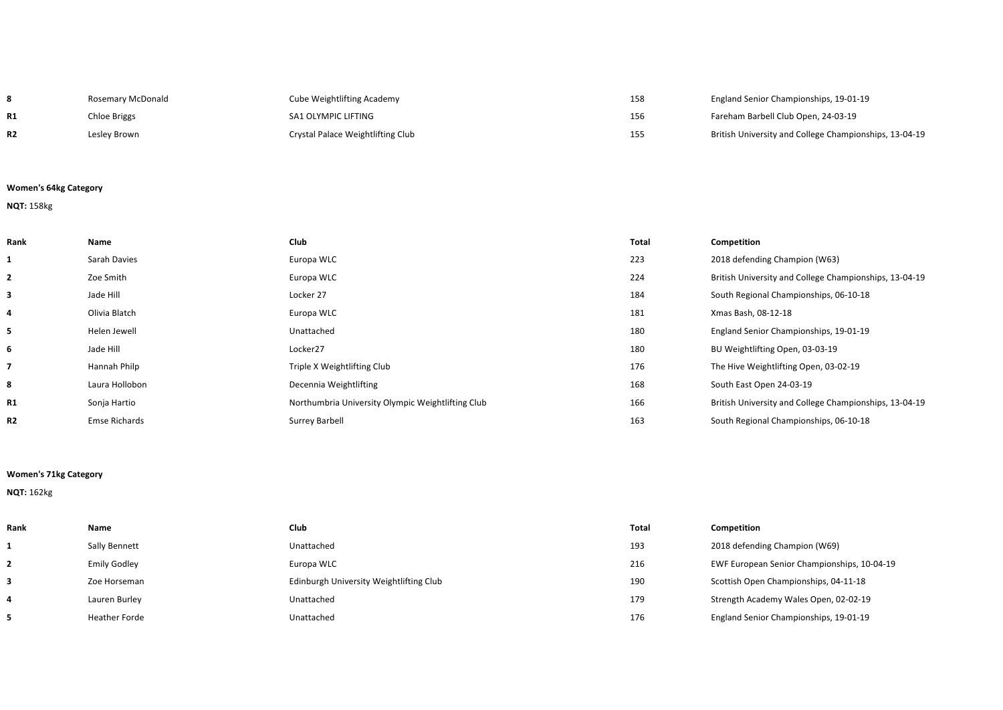|           | Rosemary McDonald | <b>Cube Weightlifting Academy</b> | 158 | England Senior Championships, 19-01-19                 |
|-----------|-------------------|-----------------------------------|-----|--------------------------------------------------------|
| <b>R1</b> | Chloe Briggs      | SA1 OLYMPIC LIFTING               | 156 | Fareham Barbell Club Open, 24-03-19                    |
| R2        | Lesley Brown      | Crystal Palace Weightlifting Club | 155 | British University and College Championships, 13-04-19 |

2018 defending Champion (W63)

**BU Weightlifting Open, 03-03-19** The Hive Weightlifting Open, 03-02-19

South East Open 24-03-19

**4** Olivia Blatch Europa WLC 181 Xmas Bash, 08-12-18

South Regional Championships, 06-10-18

**England Senior Championships, 19-01-19** 

South Regional Championships, 06-10-18

**British University and College Championships, 13-04-19** 

**British University and College Championships, 13-04-19** 

### **Women's 64kg Category**

# **NQT:** 158kg

| Rank                     | Name                 | Club                                              | <b>Total</b> | Competition          |
|--------------------------|----------------------|---------------------------------------------------|--------------|----------------------|
| 1                        | Sarah Davies         | Europa WLC                                        | 223          | 2018 defend          |
| $\overline{2}$           | Zoe Smith            | Europa WLC                                        | 224          | <b>British Unive</b> |
| 3                        | Jade Hill            | Locker 27                                         | 184          | South Regior         |
| 4                        | Olivia Blatch        | Europa WLC                                        | 181          | Xmas Bash, C         |
| 5                        | Helen Jewell         | Unattached                                        | 180          | <b>England Seni</b>  |
| 6                        | Jade Hill            | Locker27                                          | 180          | <b>BU Weightlif</b>  |
| $\overline{\phantom{a}}$ | Hannah Philp         | Triple X Weightlifting Club                       | 176          | The Hive We          |
| 8                        | Laura Hollobon       | Decennia Weightlifting                            | 168          | South East O         |
| <b>R1</b>                | Sonja Hartio         | Northumbria University Olympic Weightlifting Club | 166          | <b>British Unive</b> |
| R <sub>2</sub>           | <b>Emse Richards</b> | <b>Surrey Barbell</b>                             | 163          | South Regior         |

## **Women's 71kg Category**

#### **NQT:** 162kg

| Rank | Name                 | Club                                    | Total | Competition                                 |
|------|----------------------|-----------------------------------------|-------|---------------------------------------------|
|      | Sally Bennett        | Unattached                              | 193   | 2018 defending Champion (W69)               |
|      | <b>Emily Godley</b>  | Europa WLC                              | 216   | EWF European Senior Championships, 10-04-19 |
|      | Zoe Horseman         | Edinburgh University Weightlifting Club | 190   | Scottish Open Championships, 04-11-18       |
| 4    | Lauren Burley        | Unattached                              | 179   | Strength Academy Wales Open, 02-02-19       |
| 5.   | <b>Heather Forde</b> | Unattached                              | 176   | England Senior Championships, 19-01-19      |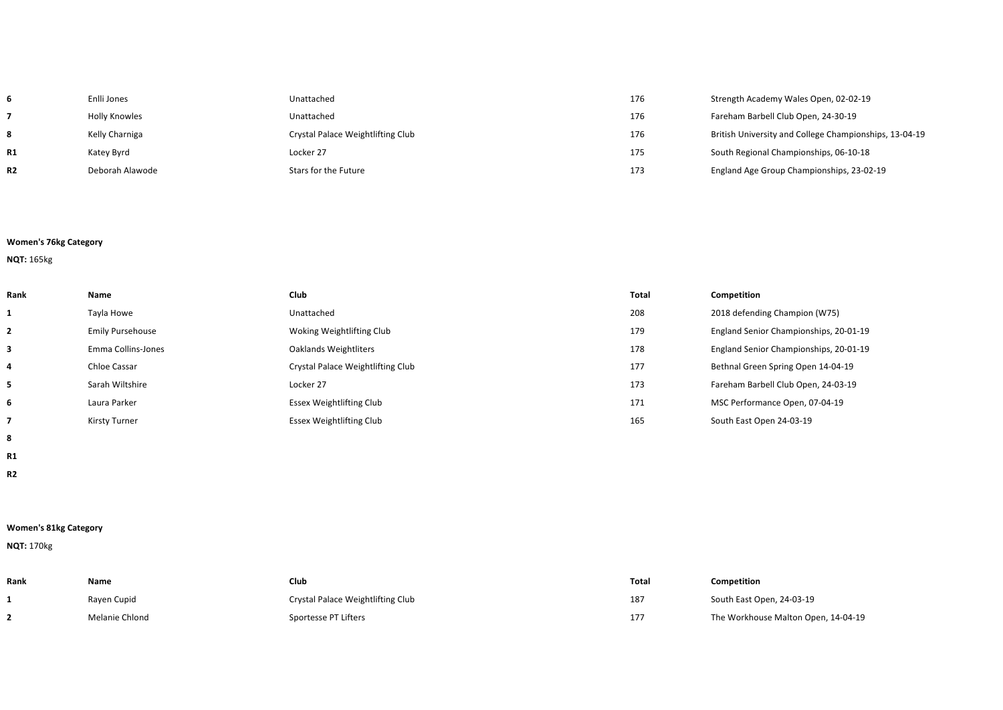| 6              | Enlli Jones     | Unattached                        | 176 | Strength Academy Wales Open, 02-02-19                  |
|----------------|-----------------|-----------------------------------|-----|--------------------------------------------------------|
|                | Holly Knowles   | Unattached                        | 176 | Fareham Barbell Club Open, 24-30-19                    |
| 8              | Kelly Charniga  | Crystal Palace Weightlifting Club | 176 | British University and College Championships, 13-04-19 |
| R1             | Katey Byrd      | Locker 27                         | 175 | South Regional Championships, 06-10-18                 |
| R <sub>2</sub> | Deborah Alawode | Stars for the Future              | 173 | England Age Group Championships, 23-02-19              |

- 
- 
- 
- 

# **Women's 76kg Category**

# **NQT:** 165kg

| Rank         | Name                    | <b>Club</b>                       | Total | Competition                            |
|--------------|-------------------------|-----------------------------------|-------|----------------------------------------|
| 1            | Tayla Howe              | Unattached                        | 208   | 2018 defending Champion (W75)          |
| $\mathbf{2}$ | <b>Emily Pursehouse</b> | Woking Weightlifting Club         | 179   | England Senior Championships, 20-01-19 |
| 3            | Emma Collins-Jones      | Oaklands Weightliters             | 178   | England Senior Championships, 20-01-19 |
| 4            | Chloe Cassar            | Crystal Palace Weightlifting Club | 177   | Bethnal Green Spring Open 14-04-19     |
| 5            | Sarah Wiltshire         | Locker 27                         | 173   | Fareham Barbell Club Open, 24-03-19    |
| 6            | Laura Parker            | Essex Weightlifting Club          | 171   | MSC Performance Open, 07-04-19         |
|              | Kirsty Turner           | <b>Essex Weightlifting Club</b>   | 165   | South East Open 24-03-19               |

- **8**
- **R1**
- **R2**

# **Women's 81kg Category**

# **NQT:** 170kg

| Rank | Name           | Club                              | <b>Total</b> | Competition                         |
|------|----------------|-----------------------------------|--------------|-------------------------------------|
|      | Rayen Cupid    | Crystal Palace Weightlifting Club | 187          | South East Open, 24-03-19           |
|      | Melanie Chlond | Sportesse PT Lifters              | 177          | The Workhouse Malton Open, 14-04-19 |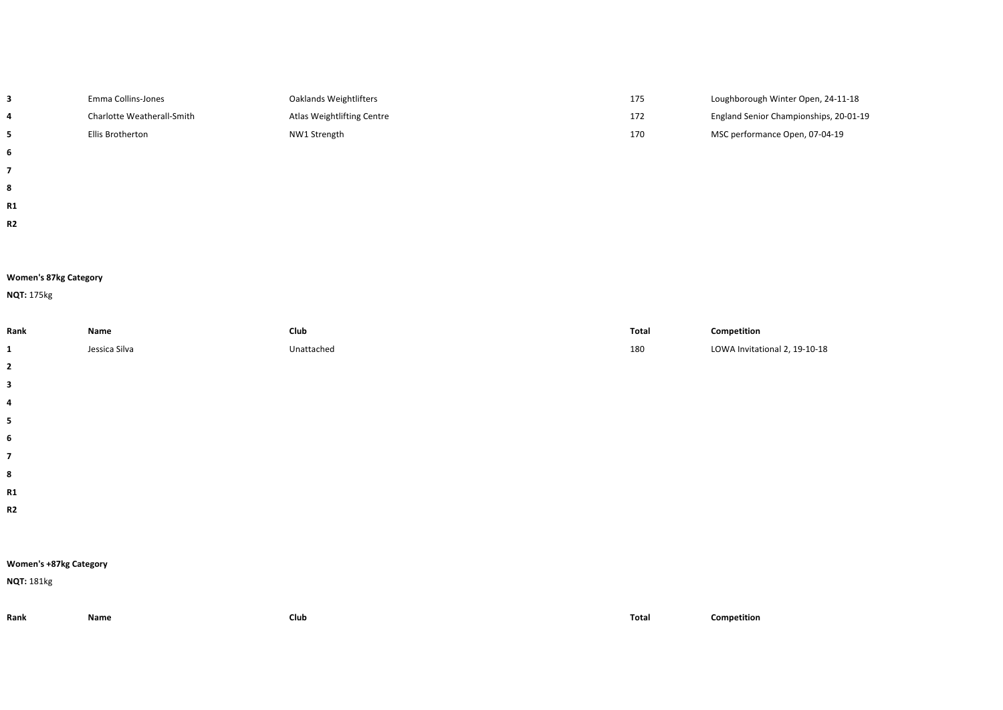|                | Emma Collins-Jones         | Oaklands Weightlifters     | 175 | Loughborough Winter Open, 24-11-18     |
|----------------|----------------------------|----------------------------|-----|----------------------------------------|
| 4              | Charlotte Weatherall-Smith | Atlas Weightlifting Centre | 172 | England Senior Championships, 20-01-19 |
|                | Ellis Brotherton           | NW1 Strength               | 170 | MSC performance Open, 07-04-19         |
| 6              |                            |                            |     |                                        |
|                |                            |                            |     |                                        |
| 8              |                            |                            |     |                                        |
| R1             |                            |                            |     |                                        |
| R <sub>2</sub> |                            |                            |     |                                        |

## **Women's 87kg Category**

# **NQT:** 175kg

| Rank                     | Name          | Club       | Total | Competition                   |  |  |
|--------------------------|---------------|------------|-------|-------------------------------|--|--|
| 1                        | Jessica Silva | Unattached | 180   | LOWA Invitational 2, 19-10-18 |  |  |
| $\overline{2}$           |               |            |       |                               |  |  |
| $\mathbf{3}$             |               |            |       |                               |  |  |
| 4                        |               |            |       |                               |  |  |
| $\overline{\mathbf{5}}$  |               |            |       |                               |  |  |
| $\boldsymbol{6}$         |               |            |       |                               |  |  |
| $\overline{\phantom{a}}$ |               |            |       |                               |  |  |
| 8                        |               |            |       |                               |  |  |
| R1                       |               |            |       |                               |  |  |
| R2                       |               |            |       |                               |  |  |
|                          |               |            |       |                               |  |  |
|                          |               |            |       |                               |  |  |
| Women's +87kg Category   |               |            |       |                               |  |  |
| <b>NQT: 181kg</b>        |               |            |       |                               |  |  |
|                          |               |            |       |                               |  |  |